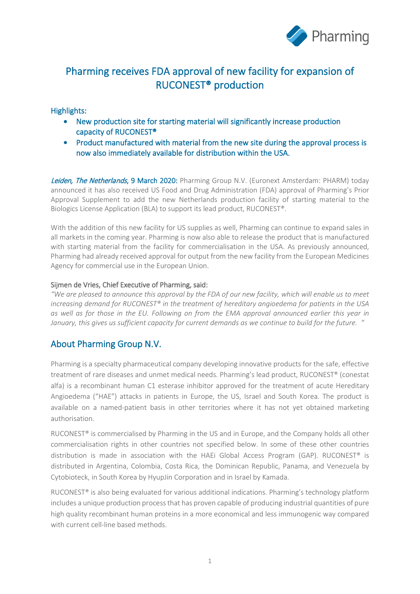

## Pharming receives FDA approval of new facility for expansion of RUCONEST® production

# Highlights:

- New production site for starting material will significantly increase production capacity of RUCONEST®
- Product manufactured with material from the new site during the approval process is now also immediately available for distribution within the USA.

Leiden, The Netherlands, 9 March 2020: Pharming Group N.V. (Euronext Amsterdam: PHARM) today announced it has also received US Food and Drug Administration (FDA) approval of Pharming's Prior Approval Supplement to add the new Netherlands production facility of starting material to the Biologics License Application (BLA) to support its lead product, RUCONEST®.

With the addition of this new facility for US supplies as well, Pharming can continue to expand sales in all markets in the coming year. Pharming is now also able to release the product that is manufactured with starting material from the facility for commercialisation in the USA. As previously announced, Pharming had already received approval for output from the new facility from the European Medicines Agency for commercial use in the European Union.

### Sijmen de Vries, Chief Executive of Pharming, said:

*"We are pleased to announce this approval by the FDA of our new facility, which will enable us to meet increasing demand for RUCONEST® in the treatment of hereditary angioedema for patients in the USA as well as for those in the EU. Following on from the EMA approval announced earlier this year in January, this gives us sufficient capacity for current demands as we continue to build for the future. "*

## About Pharming Group N.V.

Pharming is a specialty pharmaceutical company developing innovative products for the safe, effective treatment of rare diseases and unmet medical needs. Pharming's lead product, RUCONEST® (conestat alfa) is a recombinant human C1 esterase inhibitor approved for the treatment of acute Hereditary Angioedema ("HAE") attacks in patients in Europe, the US, Israel and South Korea. The product is available on a named-patient basis in other territories where it has not yet obtained marketing authorisation.

RUCONEST® is commercialised by Pharming in the US and in Europe, and the Company holds all other commercialisation rights in other countries not specified below. In some of these other countries distribution is made in association with the HAEi Global Access Program (GAP). RUCONEST® is distributed in Argentina, Colombia, Costa Rica, the Dominican Republic, Panama, and Venezuela by Cytobioteck, in South Korea by HyupJin Corporation and in Israel by Kamada.

RUCONEST® is also being evaluated for various additional indications. Pharming's technology platform includes a unique production process that has proven capable of producing industrial quantities of pure high quality recombinant human proteins in a more economical and less immunogenic way compared with current cell-line based methods.